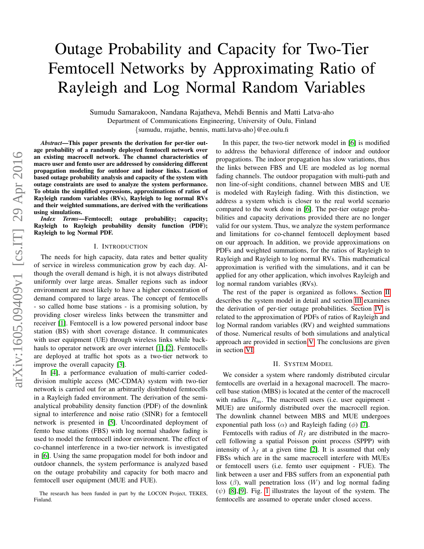# Outage Probability and Capacity for Two-Tier Femtocell Networks by Approximating Ratio of Rayleigh and Log Normal Random Variables

Sumudu Samarakoon, Nandana Rajatheva, Mehdi Bennis and Matti Latva-aho Department of Communications Engineering, University of Oulu, Finland

{sumudu, rrajathe, bennis, matti.latva-aho}@ee.oulu.fi

*Abstract*—This paper presents the derivation for per-tier outage probability of a randomly deployed femtocell network over an existing macrocell network. The channel characteristics of macro user and femto user are addressed by considering different propagation modeling for outdoor and indoor links. Location based outage probability analysis and capacity of the system with outage constraints are used to analyze the system performance. To obtain the simplified expressions, approximations of ratios of Rayleigh random variables (RVs), Rayleigh to log normal RVs and their weighted summations, are derived with the verifications using simulations.

*Index Terms*—Femtocell; outage probability; capacity; Rayleigh to Rayleigh probability density function (PDF); Rayleigh to log Normal PDF.

### I. INTRODUCTION

The needs for high capacity, data rates and better quality of service in wireless communication grow by each day. Although the overall demand is high, it is not always distributed uniformly over large areas. Smaller regions such as indoor environment are most likely to have a higher concentration of demand compared to large areas. The concept of femtocells - so called home base stations - is a promising solution, by providing closer wireless links between the transmitter and receiver [\[1\]](#page-4-0). Femtocell is a low powered personal indoor base station (BS) with short coverage distance. It communicates with user equipment (UE) through wireless links while backhauls to operator network are over internet [\[1\]](#page-4-0),[\[2\]](#page-4-1). Femtocells are deployed at traffic hot spots as a two-tier network to improve the overall capacity [\[3\]](#page-4-2).

In [\[4\]](#page-4-3), a performance evaluation of multi-carrier codeddivision multiple access (MC-CDMA) system with two-tier network is carried out for an arbitrarily distributed femtocells in a Rayleigh faded environment. The derivation of the semianalytical probability density function (PDF) of the downlink signal to interference and noise ratio (SINR) for a femtocell network is presented in [\[5\]](#page-4-4). Uncoordinated deployment of femto base stations (FBS) with log normal shadow fading is used to model the femtocell indoor environment. The effect of co-channel interference in a two-tier network is investigated in [\[6\]](#page-4-5). Using the same propagation model for both indoor and outdoor channels, the system performance is analyzed based on the outage probability and capacity for both macro and femtocell user equipment (MUE and FUE).

The research has been funded in part by the LOCON Project, TEKES, Finland.

In this paper, the two-tier network model in [\[6\]](#page-4-5) is modified to address the behavioral difference of indoor and outdoor propagations. The indoor propagation has slow variations, thus the links between FBS and UE are modeled as log normal fading channels. The outdoor propagation with multi-path and non line-of-sight conditions, channel between MBS and UE is modeled with Rayleigh fading. With this distinction, we address a system which is closer to the real world scenario compared to the work done in [\[6\]](#page-4-5). The per-tier outage probabilities and capacity derivations provided there are no longer valid for our system. Thus, we analyze the system performance and limitations for co-channel femtocell deployment based on our approach. In addition, we provide approximations on PDFs and weighted summations, for the ratios of Rayleigh to Rayleigh and Rayleigh to log normal RVs. This mathematical approximation is verified with the simulations, and it can be applied for any other application, which involves Rayleigh and log normal random variables (RVs).

The rest of the paper is organized as follows. Section [II](#page-0-0) describes the system model in detail and section [III](#page-1-0) examines the derivation of per-tier outage probabilities. Section [IV](#page-2-0) is related to the approximation of PDFs of ratios of Rayleigh and log Normal random variables (RV) and weighted summations of those. Numerical results of both simulations and analytical approach are provided in section [V.](#page-3-0) The conclusions are given in section [VI.](#page-4-6)

#### II. SYSTEM MODEL

<span id="page-0-0"></span>We consider a system where randomly distributed circular femtocells are overlaid in a hexagonal macrocell. The macrocell base station (MBS) is located at the center of the macrocell with radius  $R_m$ . The macrocell users (i.e. user equipment -MUE) are uniformly distributed over the macrocell region. The downlink channel between MBS and MUE undergoes exponential path loss ( $\alpha$ ) and Rayleigh fading ( $\phi$ ) [\[7\]](#page-4-7).

Femtocells with radius of  $R_f$  are distributed in the macrocell following a spatial Poisson point process (SPPP) with intensity of  $\lambda_f$  at a given time [\[2\]](#page-4-1). It is assumed that only FBSs which are in the same macrocell interfere with MUEs or femtocell users (i.e. femto user equipment - FUE). The link between a user and FBS suffers from an exponential path loss  $(\beta)$ , wall penetration loss  $(W)$  and log normal fading  $(\psi)$  [\[8\]](#page-4-8),[\[9\]](#page-4-9). Fig. [1](#page-1-1) illustrates the layout of the system. The femtocells are assumed to operate under closed access.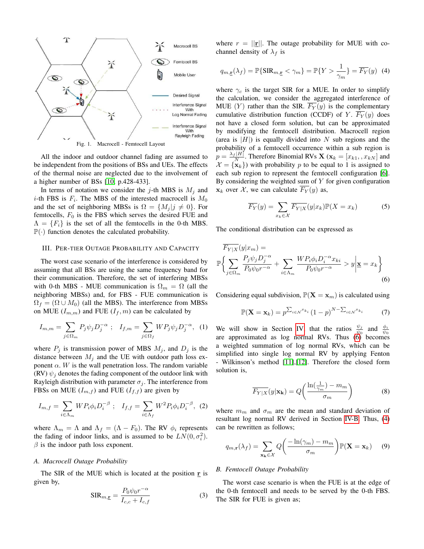

<span id="page-1-1"></span>All the indoor and outdoor channel fading are assumed to be independent from the positions of BSs and UEs. The effects of the thermal noise are neglected due to the involvement of a higher number of BSs [\[10,](#page-4-10) p.428-433].

In terms of notation we consider the j-th MBS is  $M_i$  and *i*-th FBS is  $F_i$ . The MBS of the interested macrocell is  $M_0$ and the set of neighboring MBSs is  $\Omega = \{M_i | j \neq 0\}$ . For femtocells,  $F_0$  is the FBS which serves the desired FUE and  $\Lambda = \{F_i\}$  is the set of all the femtocells in the 0-th MBS.  $\mathbb{P}(\cdot)$  function denotes the calculated probability.

#### <span id="page-1-0"></span>III. PER-TIER OUTAGE PROBABILITY AND CAPACITY

The worst case scenario of the interference is considered by assuming that all BSs are using the same frequency band for their communication. Therefore, the set of interfering MBSs with 0-th MBS - MUE communication is  $\Omega_m = \Omega$  (all the neighboring MBSs) and, for FBS - FUE communication is  $\Omega_f = (\Omega \cup M_0)$  (all the MBS). The interference from MBSs on MUE  $(I_{m,m})$  and FUE  $(I_f, m)$  can be calculated by

$$
I_{m,m} = \sum_{j \in \Omega_m} P_j \psi_j D_j^{-\alpha} \; ; \quad I_{f,m} = \sum_{j \in \Omega_f} W P_j \psi_j D_j^{-\alpha}, \quad (1)
$$

where  $P_j$  is transmission power of MBS  $M_j$ , and  $D_j$  is the distance between  $M_j$  and the UE with outdoor path loss exponent  $\alpha$ . W is the wall penetration loss. The random variable (RV)  $\psi_j$  denotes the fading component of the outdoor link with Rayleigh distribution with parameter  $\sigma_i$ . The interference from FBSs on MUE  $(I_{m,f})$  and FUE  $(I_{f,f})$  are given by

$$
I_{m,f} = \sum_{i \in \Lambda_m} W P_i \phi_i D_i^{-\beta} \; ; \quad I_{f,f} = \sum_{i \in \Lambda_f} W^2 P_i \phi_i D_i^{-\beta}, \tag{2}
$$

where  $\Lambda_m = \Lambda$  and  $\Lambda_f = (\Lambda - F_0)$ . The RV  $\phi_i$  represents the fading of indoor links, and is assumed to be  $LN(0, \sigma_i^2)$ .  $\beta$  is the indoor path loss exponent.

## *A. Macrocell Outage Probability*

The SIR of the MUE which is located at the position  $r$  is given by,

<span id="page-1-4"></span>
$$
SIR_{m,\underline{\mathbf{r}}} = \frac{P_0 \psi_0 r^{-\alpha}}{I_{c,c} + I_{c,f}} \tag{3}
$$

where  $r = ||\mathbf{r}||$ . The outage probability for MUE with cochannel density of  $\lambda_f$  is

<span id="page-1-3"></span>
$$
q_{m,\mathbf{r}}(\lambda_f) = \mathbb{P}\{\text{SIR}_{m,\mathbf{r}} < \gamma_m\} = \mathbb{P}\{Y > \frac{1}{\gamma_m}\} = \overline{F_Y}(y) \tag{4}
$$

where  $\gamma_c$  is the target SIR for a MUE. In order to simplify the calculation, we consider the aggregated interference of MUE (Y) rather than the SIR.  $\overline{F_Y}(y)$  is the complementary cumulative distribution function (CCDF) of Y.  $\overline{F_Y}(y)$  does not have a closed form solution, but can be approximated by modifying the femtocell distribution. Macrocell region (area is  $|H|$ ) is equally divided into N sub regions and the probability of a femtocell occurrence within a sub region is  $p = \frac{\lambda_f |H|}{N}$ . Therefore Binomial RVs  $\mathbf{X} (\mathbf{x}_k = [x_{k1}, x_{kN}]$  and  $\mathcal{X} = {\mathbf{x}_k}$ ) with probability p to be equal to 1 is assigned to each sub region to represent the femtocell configuration [\[6\]](#page-4-5). By considering the weighted sum of  $Y$  for given configuration  $x_k$  over X, we can calculate  $\overline{F_Y}(y)$  as,

$$
\overline{F_Y}(y) = \sum_{x_k \in \mathcal{X}} \overline{F_{Y|X}}(y|x_k) \mathbb{P}(X = x_k)
$$
 (5)

The conditional distribution can be expressed as

$$
F_{Y|X}(y|x_m) =
$$
  

$$
\mathbb{P}\left\{\sum_{j\in\Omega_m} \frac{P_j \psi_j D_j^{-\alpha}}{P_0 \psi_0 r^{-\alpha}} + \sum_{i\in\Lambda_m} \frac{W P_i \phi_i D_i^{-\alpha} x_{ki}}{P_0 \psi_0 r^{-\alpha}} > y \middle| \underline{\mathbf{x}} = x_k \right\}
$$
  
(6)

Considering equal subdivision,  $\mathbb{P}(\mathbf{X} = \mathbf{x}_m)$  is calculated using

<span id="page-1-2"></span>
$$
\mathbb{P}(\mathbf{X} = \mathbf{x}_k) = p^{\sum_{i \in \mathcal{N}} x_{k_i}} (1 - p)^{N - \sum_{i \in \mathcal{N}} x_{k_i}} \tag{7}
$$

We will show in Section [IV,](#page-2-0) that the ratios  $\frac{\psi_j}{\psi_0}$  and  $\frac{\phi_i}{\psi_0}$ are approximated as log normal RVs. Thus  $\begin{pmatrix} \psi_0 & \text{and} & \psi_0 \\ 6 & \text{becomes} \end{pmatrix}$ a weighted summation of log normal RVs, which can be simplified into single log normal RV by applying Fenton Wilkinson's method [\[11\]](#page-4-11),[\[12\]](#page-4-12). Therefore the closed form solution is,

$$
\overline{F_{Y|X}}(y|\mathbf{x_k}) = Q\left(\frac{\ln(\frac{1}{\gamma_m}) - m_m}{\sigma_m}\right)
$$
 (8)

where  $m_m$  and  $\sigma_m$  are the mean and standard deviation of resultant log normal RV derived in Section [IV-B.](#page-3-1) Thus, [\(4\)](#page-1-3) can be rewritten as follows;

$$
q_{m,\mathbf{r}}(\lambda_f) = \sum_{\mathbf{x_k} \in \mathcal{X}} Q\left(\frac{-\ln(\gamma_m) - m_m}{\sigma_m}\right) \mathbb{P}(\mathbf{X} = \mathbf{x}_k) \tag{9}
$$

#### *B. Femtocell Outage Probability*

The worst case scenario is when the FUE is at the edge of the 0-th femtocell and needs to be served by the 0-th FBS. The SIR for FUE is given as;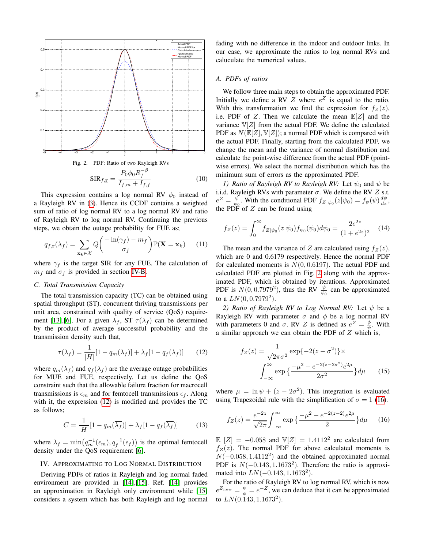

<span id="page-2-2"></span>This expression contains a log normal RV  $\phi_0$  instead of a Rayleigh RV in [\(3\)](#page-1-4). Hence its CCDF contains a weighted sum of ratio of log normal RV to a log normal RV and ratio of Rayleigh RV to log normal RV. Continuing the previous steps, we obtain the outage probability for FUE as;

$$
q_{f,\mathbf{r}}(\lambda_f) = \sum_{\mathbf{x}_k \in \mathcal{X}} Q\left(\frac{-\ln(\gamma_f) - m_f}{\sigma_f}\right) \mathbb{P}(\mathbf{X} = \mathbf{x}_k)
$$
 (11)

where  $\gamma_f$  is the target SIR for any FUE. The calculation of  $m_f$  and  $\sigma_f$  is provided in section [IV-B.](#page-3-1)

# *C. Total Transmission Capacity*

The total transmission capacity (TC) can be obtained using spatial throughput (ST), concurrent thriving transmissions per unit area, constrained with quality of service (QoS) require-ment [\[13\]](#page-4-13), [\[6\]](#page-4-5). For a given  $\lambda_f$ , ST  $\tau(\lambda_f)$  can be determined by the product of average successful probability and the transmission density such that,

<span id="page-2-1"></span>
$$
\tau(\lambda_f) = \frac{1}{|H|} [1 - q_m(\lambda_f)] + \lambda_f [1 - q_f(\lambda_f)] \tag{12}
$$

where  $q_m(\lambda_f)$  and  $q_f(\lambda_f)$  are the average outage probabilities for MUE and FUE, respectively. Let us define the QoS constraint such that the allowable failure fraction for macrocell transmissions is  $\epsilon_m$  and for femtocell transmissions  $\epsilon_f$ . Along with it, the expression [\(12\)](#page-2-1) is modified and provides the TC as follows;

<span id="page-2-6"></span>
$$
C = \frac{1}{|H|} [1 - q_m(\overline{\lambda_f})] + \lambda_f [1 - q_f(\overline{\lambda_f})]
$$
(13)

where  $\overline{\lambda_f} = \min(q_m^{-1}(\epsilon_m), q_f^{-1}(\epsilon_f))$  is the optimal femtocell density under the QoS requirement [\[6\]](#page-4-5).

# <span id="page-2-0"></span>IV. APPROXIMATING TO LOG NORMAL DISTRIBUTION

Deriving PDFs of ratios in Rayleigh and log normal faded environment are provided in [\[14\]](#page-4-14),[\[15\]](#page-4-15). Ref. [\[14\]](#page-4-14) provides an approximation in Rayleigh only environment while [\[15\]](#page-4-15) considers a system which has both Rayleigh and log normal fading with no difference in the indoor and outdoor links. In our case, we approximate the ratios to log normal RVs and caluculate the numerical values.

## *A. PDFs of ratios*

We follow three main steps to obtain the approximated PDF. Initially we define a RV  $Z$  where  $e^Z$  is equal to the ratio. With this transformation we find the expression for  $f_Z(z)$ , i.e. PDF of Z. Then we calculate the mean  $\mathbb{E}[Z]$  and the variance  $\mathbb{V}[Z]$  from the actual PDF. We define the calculated PDF as  $N(\mathbb{E}[Z], \mathbb{V}[Z])$ ; a normal PDF which is compared with the actual PDF. Finally, starting from the calculated PDF, we change the mean and the variance of normal distribution and calculate the point-wise difference from the actual PDF (pointwise errors). We select the normal distribution which has the minimum sum of errors as the approximated PDF.

<span id="page-2-4"></span>*1) Ratio of Rayleigh RV to Rayleigh RV:* Let  $\psi_0$  and  $\psi$  be i.i.d. Rayleigh RVs with parameter  $\sigma$ . We define the RV Z s.t.  $e^Z = \frac{\psi}{\psi_0}$ . With the conditional PDF  $f_{Z|\psi_0}(z|\psi_0) = f_{\psi}(\psi)\frac{d\psi}{dz}$ , the PDF of  $Z$  can be found using

$$
f_Z(z) = \int_0^\infty f_{Z|\psi_0}(z|\psi_0) f_{\psi_0}(\psi_0) d\psi_0 = \frac{2e^{2z}}{(1+e^{2z})^2}
$$
 (14)

The mean and the variance of Z are calculated using  $f_Z(z)$ , which are 0 and 0.6179 respectively. Hence the normal PDF for calculated moments is  $N(0, 0.6197)$ . The actual PDF and calculated PDF are plotted in Fig. [2](#page-2-2) along with the approximated PDF, which is obtained by iterations. Approximated PDF is  $N(0, 0.7979^2)$ , thus the RV  $\frac{\psi}{\psi_0}$  can be approximated to a  $LN(0, 0.7979^2)$ .

<span id="page-2-5"></span>*2) Ratio of Rayleigh RV to Log Normal RV:* Let  $\psi$  be a Rayleigh RV with parameter  $\sigma$  and  $\phi$  be a log normal RV with parameters 0 and  $\sigma$ . RV Z is defined as  $e^{\overline{Z}} = \frac{\phi}{\psi}$ . With a similar approach we can obtain the PDF of Z which is,

$$
f_Z(z) = \frac{1}{\sqrt{2\pi}\sigma^2} \exp\{-2(z-\sigma^2)\}\times
$$

$$
\int_{-\infty}^{\infty} \exp\left\{\frac{-\mu^2 - e^{-2(z-2\sigma^2)}e^{2\mu}}{2\sigma^2}\right\} d\mu \qquad (15)
$$

where  $\mu = \ln \psi + (z - 2\sigma^2)$ . This integration is evaluated using Trapezoidal rule with the simplification of  $\sigma = 1$  [\(16\)](#page-2-3).

<span id="page-2-3"></span>
$$
f_Z(z) = \frac{e^{-2z}}{\sqrt{2\pi}} \int_{-\infty}^{\infty} \exp\left\{ \frac{-\mu^2 - e^{-2(z-2)}e^{2\mu}}{2} \right\} d\mu \qquad (16)
$$

 $\mathbb{E}[Z] = -0.058$  and  $\mathbb{V}[Z] = 1.4112^2$  are calculated from  $f_Z(z)$ . The normal PDF for above calculated moments is  $N(-0.058, 1.4112<sup>2</sup>)$  and the obtained approximated normal PDF is  $N(-0.143, 1.1673^2)$ . Therefore the ratio is approximated into  $LN(-0.143, 1.1673^2)$ .

For the ratio of Rayleigh RV to log normal RV, which is now  $e^{Z_{new}} = \frac{\psi}{\phi} = e^{-Z}$ , we can deduce that it can be approximated to  $LN(0.143, 1.1673^2)$ .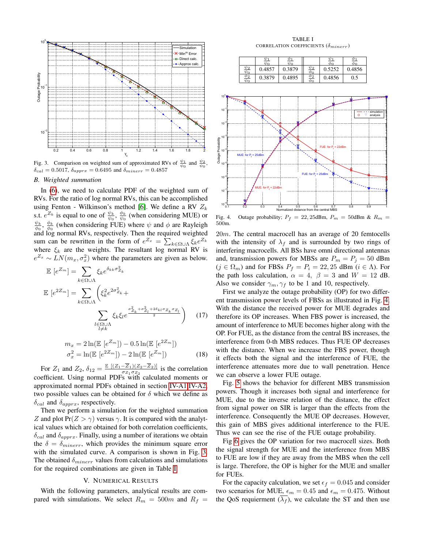

<span id="page-3-2"></span>Fig. 3. Comparison on weighted sum of approximated RVs of  $\frac{\psi_1}{\psi_0}$  and  $\frac{\psi_2}{\psi_0}$  $\delta_{cal} = 0.5017, \, \delta_{approx} = 0.6495$  and  $\delta_{minerr} = 0.4857$ 

,

#### <span id="page-3-1"></span>*B. Weighted summation*

In [\(6\)](#page-1-2), we need to calculate PDF of the weighted sum of RVs. For the ratio of log normal RVs, this can be accomplished using Fenton - Wilkinson's method [\[6\]](#page-4-5). We define a RV  $Z_k$ s.t.  $e^{Z_k}$  is equal to one of  $\frac{\psi_k}{\psi_0}$ ,  $\frac{\phi_k}{\psi_0}$  (when considering MUE) or  $\frac{\psi_k}{\phi_0}$ ,  $\frac{\phi_k}{\phi_0}$  (when considering FUE) where  $\psi$  and  $\phi$  are Rayleigh  $\phi_0$ ,  $\phi_0$  (when constantly 1 cm) where  $\phi$  and  $\phi$  are raying and log normal RVs, respectively. Then the required weighted sum can be rewritten in the form of  $e^{Z_x} = \sum_{k \in \Omega \cup \Lambda} \xi_k e^{Z_k}$ where  $\xi_k$  are the weights. The resultant log normal RV is  $e^{Z_x} \sim LN(m_x, \sigma_x^2)$  where the parameters are given as below.

$$
\mathbb{E}\left[e^{Z_m}\right] = \sum_{k \in \Omega \cup \Lambda} \xi_k e^{\delta_{kk}\sigma_{Z_k}^2}
$$
\n
$$
\mathbb{E}\left[e^{2Z_m}\right] = \sum_{k \in \Omega \cup \Lambda} \left(\xi_k^2 e^{2\sigma_{Z_k}^2} + \sum_{\substack{l \in \Omega \cup \Lambda \\ l \neq k}} \xi_k \xi_l e^{\frac{\sigma_{Z_k}^2 + \sigma_{Z_l}^2 + 2\delta_{kl}\sigma_{Z_k}\sigma_{Z_l}}{2}}\right)
$$
(17)

$$
m_x = 2\ln(\mathbb{E}[e^{Z_m}]) - 0.5\ln(\mathbb{E}[e^{2Z_m}])
$$
  
\n
$$
\sigma_x^2 = \ln(\mathbb{E}[e^{2Z_m}]) - 2\ln(\mathbb{E}[e^{Z_m}])
$$
\n(18)

For  $Z_1$  and  $Z_2$ ,  $\delta_{12} = \frac{\mathbb{E}[(Z_1 - \overline{Z}_1)(Z_2 - \overline{Z}_2)]}{\sigma Z_1 \sigma Z_2}$  $\frac{-\Delta_1[(\Delta_2 - \Delta_2)]}{\sigma_{Z_1} \sigma_{Z_2}}$  is the correlation coefficient. Using normal PDFs with calculated moments or approximated normal PDFs obtained in section [IV-A1,](#page-2-4)[IV-A2,](#page-2-5) two possible values can be obtained for  $\delta$  which we define as  $\delta_{cal}$  and  $\delta_{approx}$ , respectively.

Then we perform a simulation for the weighted summation Z and plot  $Pr(Z > \gamma)$  versus  $\gamma$ . It is compared with the analytical values which are obtained for both correlation coefficients,  $\delta_{cal}$  and  $\delta_{approx}$ . Finally, using a number of iterations we obtain the  $\delta = \delta_{minerr}$ , which provides the minimum square error with the simulated curve. A comparison is shown in Fig. [3.](#page-3-2) The obtained  $\delta_{minerr}$  values from calculations and simulations for the required combinations are given in Table [I.](#page-3-3)

#### V. NUMERICAL RESULTS

<span id="page-3-0"></span>With the following parameters, analytical results are compared with simulations. We select  $R_m = 500m$  and  $R_f =$ 

TABLE I CORRELATION COEFFICIENTS  $(\delta_{minerr})$ 

<span id="page-3-3"></span>

|                         | $\psi_1$<br>ψη | ψη     |                      | wι<br>Φn | Φr     |
|-------------------------|----------------|--------|----------------------|----------|--------|
| $_{\psi_2}$<br>$\psi_0$ | 0.4857         | 0.3879 | $\psi_2$<br>Φη       | 0.5252   | 0.4856 |
| $_{\varphi_2}$<br>ψη    | 0.3879         | 0.4895 | $_{\varphi_2}$<br>Φr | 0.4856   | 0.5    |



<span id="page-3-4"></span>Fig. 4. Outage probability;  $P_f = 22,25$ dBm,  $P_m = 50$ dBm &  $R_m =$ 500m.

20m. The central macrocell has an average of 20 femtocells with the intensity of  $\lambda_f$  and is surrounded by two rings of interfering macrocells. All BSs have omni directional antennas and, transmission powers for MBSs are  $P_m = P_j = 50$  dBm  $(j \in \Omega_m)$  and for FBSs  $P_f = P_i = 22,25$  dBm  $(i \in \Lambda)$ . For the path loss calculation,  $\alpha = 4$ ,  $\beta = 3$  and  $W = 12$  dB. Also we consider  $\gamma_m, \gamma_f$  to be 1 and 10, respectively.

First we analyze the outage probability (OP) for two different transmission power levels of FBSs as illustrated in Fig. [4.](#page-3-4) With the distance the received power for MUE degrades and therefore its OP increases. When FBS power is increased, the amount of interference to MUE becomes higher along with the OP. For FUE, as the distance from the central BS increases, the interference from 0-th MBS reduces. Thus FUE OP decreases with the distance. When we increase the FBS power, though it effects both the signal and the interference of FUE, the interference attenuates more due to wall penetration. Hence we can observe a lower FUE outage.

Fig. [5](#page-4-16) shows the behavior for different MBS transmission powers. Though it increases both signal and interference for MUE, due to the inverse relation of the distance, the effect from signal power on SIR is larger than the effects from the interference. Consequently the MUE OP decreases. However, this gain of MBS gives additional interference to the FUE. Thus we can see the rise of the FUE outage probability.

Fig [6](#page-4-17) gives the OP variation for two macrocell sizes. Both the signal strength for MUE and the interference from MBS to FUE are low if they are away from the MBS when the cell is large. Therefore, the OP is higher for the MUE and smaller for FUEs.

For the capacity calculation, we set  $\epsilon_f = 0.045$  and consider two scenarios for MUE,  $\epsilon_m = 0.45$  and  $\epsilon_m = 0.475$ . Without the QoS requierment  $(\overline{\lambda_f})$ , we calculate the ST and then use